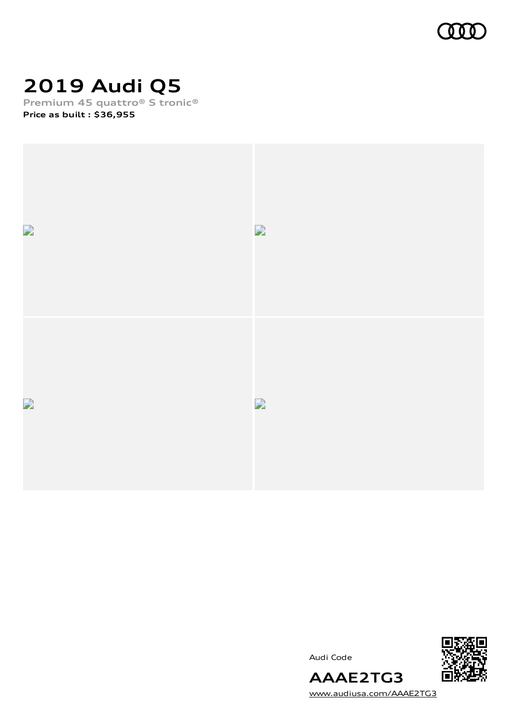

# **2019 Audi Q5**

**Premium 45 quattro® S tronic®**

**Price as built [:](#page-10-0) \$36,955**



Audi Code



[www.audiusa.com/AAAE2TG3](https://www.audiusa.com/AAAE2TG3)

**AAAE2TG3**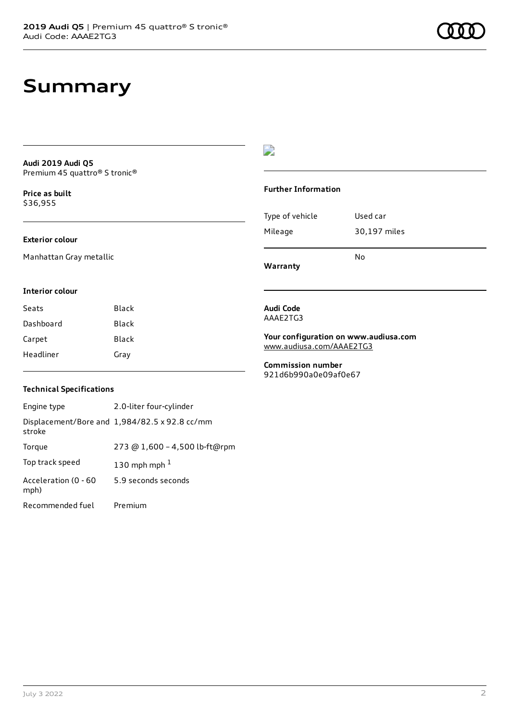### **Summary**

**Audi 2019 Audi Q5** Premium 45 quattro® S tronic®

**Price as buil[t](#page-10-0)** \$36,955

#### **Exterior colour**

Manhattan Gray metallic

### $\overline{\phantom{a}}$

#### **Further Information**

|                 | N٥           |
|-----------------|--------------|
| Mileage         | 30,197 miles |
| Type of vehicle | Used car     |

**Warranty**

#### **Interior colour**

| Seats     | Black |
|-----------|-------|
| Dashboard | Black |
| Carpet    | Black |
| Headliner | Gray  |

#### **Audi Code** AAAE2TG3

**Your configuration on www.audiusa.com** [www.audiusa.com/AAAE2TG3](https://www.audiusa.com/AAAE2TG3)

**Commission number** 921d6b990a0e09af0e67

#### **Technical Specifications**

| Engine type                  | 2.0-liter four-cylinder                       |
|------------------------------|-----------------------------------------------|
| stroke                       | Displacement/Bore and 1,984/82.5 x 92.8 cc/mm |
| Torque                       | 273 @ 1,600 - 4,500 lb-ft@rpm                 |
| Top track speed              | 130 mph mph $1$                               |
| Acceleration (0 - 60<br>mph) | 5.9 seconds seconds                           |
| Recommended fuel             | Premium                                       |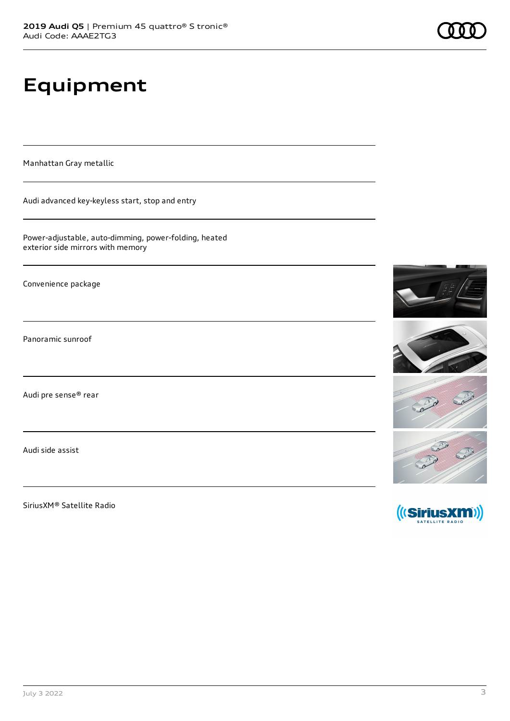# **Equipment**

Manhattan Gray metallic

Audi advanced key-keyless start, stop and entry

Power-adjustable, auto-dimming, power-folding, heated exterior side mirrors with memory

Convenience package

Panoramic sunroof

Audi pre sense® rear

Audi side assist

SiriusXM® Satellite Radio

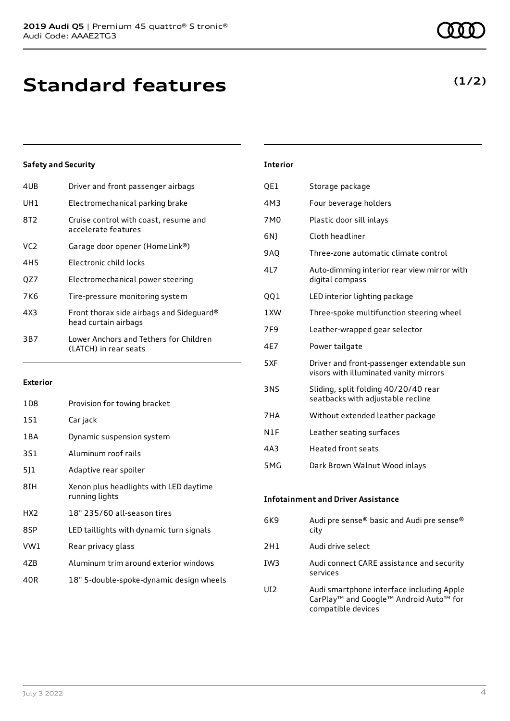| 4UB | Driver and front passenger airbags                               |
|-----|------------------------------------------------------------------|
| UH1 | Electromechanical parking brake                                  |
| 8T2 | Cruise control with coast, resume and<br>accelerate features     |
| VC2 | Garage door opener (HomeLink®)                                   |
| 4H5 | Electronic child locks                                           |
| OZ7 | Electromechanical power steering                                 |
| 7K6 | Tire-pressure monitoring system                                  |
| 4X3 | Front thorax side airbags and Sideguard®<br>head curtain airbags |
| 3B7 | Lower Anchors and Tethers for Children<br>(LATCH) in rear seats  |
|     |                                                                  |

#### **Exterior**

| 1D8             | Provision for towing bracket                             |
|-----------------|----------------------------------------------------------|
| 1S1             | Car jack                                                 |
| 1 B A           | Dynamic suspension system                                |
| 3S1             | Aluminum roof rails                                      |
| 5]1             | Adaptive rear spoiler                                    |
| 8IH             | Xenon plus headlights with LED daytime<br>running lights |
| HX <sub>2</sub> | 18" 235/60 all-season tires                              |
| 8SP             | LED taillights with dynamic turn signals                 |
| VW1             | Rear privacy glass                                       |
| 4ZB             | Aluminum trim around exterior windows                    |
| 40R             | 18" 5-double-spoke-dynamic design wheels                 |

| <b>Interior</b> |                                                                                     |
|-----------------|-------------------------------------------------------------------------------------|
| QE1             | Storage package                                                                     |
| 4M3             | Four beverage holders                                                               |
| 7M <sub>0</sub> | Plastic door sill inlays                                                            |
| 6N)             | Cloth headliner                                                                     |
| <b>9AO</b>      | Three-zone automatic climate control                                                |
| 4L7             | Auto-dimming interior rear view mirror with<br>digital compass                      |
| QQ1             | LED interior lighting package                                                       |
| 1XW             | Three-spoke multifunction steering wheel                                            |
| 7F9             | Leather-wrapped gear selector                                                       |
| 4E7             | Power tailgate                                                                      |
| 5XF             | Driver and front-passenger extendable sun<br>visors with illuminated vanity mirrors |
| 3NS             | Sliding, split folding 40/20/40 rear<br>seatbacks with adjustable recline           |
| 7HA             | Without extended leather package                                                    |
| N1F             | Leather seating surfaces                                                            |
| 4A3             | <b>Heated front seats</b>                                                           |
| 5MG             | Dark Brown Walnut Wood inlays                                                       |

| <b>Infotainment and Driver Assistance</b> |                                                   |  |
|-------------------------------------------|---------------------------------------------------|--|
| 6K9                                       | Audi pre sense® basic and Audi pre sense®<br>city |  |
| 2H1                                       | Audi drive select                                 |  |
| IW3                                       | Audi connect CARE assistance and security         |  |

services

UI2 Audi smartphone interface including Apple CarPlay™ and Google™ Android Auto™ for compatible devices

### **(1/2)**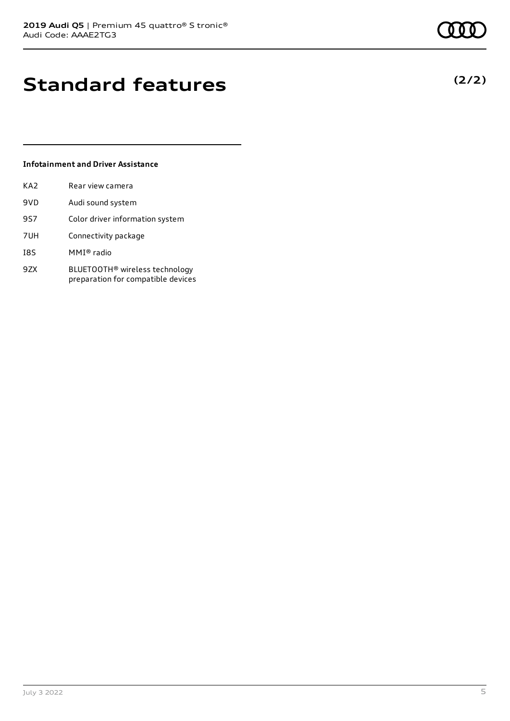### **Standard features**

#### **Infotainment and Driver Assistance**

| KA2 | Rear view camera                                                                 |
|-----|----------------------------------------------------------------------------------|
| 9VD | Audi sound system                                                                |
| 9S7 | Color driver information system                                                  |
| 7UH | Connectivity package                                                             |
| I8S | MMI® radio                                                                       |
| 9ZX | BLUETOOTH <sup>®</sup> wireless technology<br>preparation for compatible devices |

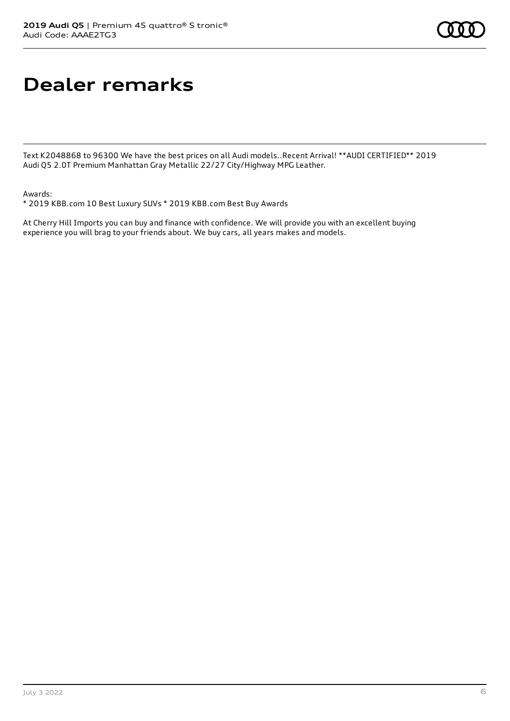### **Dealer remarks**

Text K2048868 to 96300 We have the best prices on all Audi models..Recent Arrival! \*\*AUDI CERTIFIED\*\* 2019 Audi Q5 2.0T Premium Manhattan Gray Metallic 22/27 City/Highway MPG Leather.

Awards:

\* 2019 KBB.com 10 Best Luxury SUVs \* 2019 KBB.com Best Buy Awards

At Cherry Hill Imports you can buy and finance with confidence. We will provide you with an excellent buying experience you will brag to your friends about. We buy cars, all years makes and models.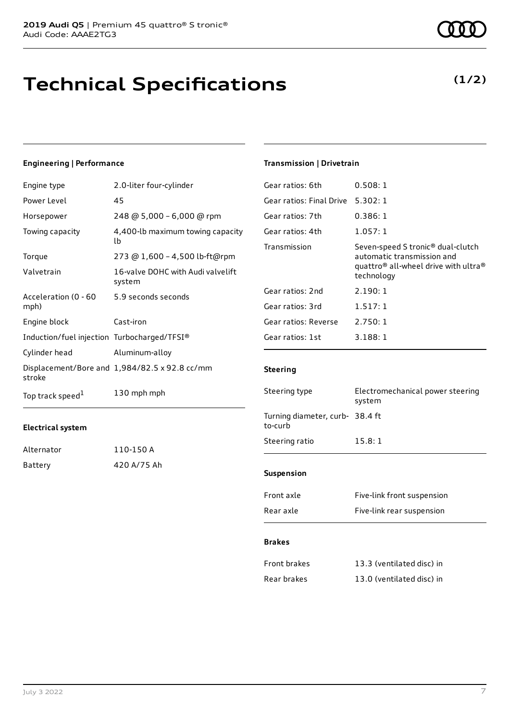### **Technical Specifications**

#### **Engineering | Performance**

| Engine type                                 | 2.0-liter four-cylinder                       |
|---------------------------------------------|-----------------------------------------------|
| Power Level                                 | 45                                            |
| Horsepower                                  | 248 @ 5,000 - 6,000 @ rpm                     |
| Towing capacity                             | 4,400-lb maximum towing capacity<br>lb        |
| Torque                                      | 273 @ 1,600 - 4,500 lb-ft@rpm                 |
| Valvetrain                                  | 16-valve DOHC with Audi valvelift<br>system   |
| Acceleration (0 - 60<br>mph)                | 5.9 seconds seconds                           |
| Engine block                                | Cast-iron                                     |
| Induction/fuel injection Turbocharged/TFSI® |                                               |
| Cylinder head                               | Aluminum-alloy                                |
| stroke                                      | Displacement/Bore and 1,984/82.5 x 92.8 cc/mm |
| Top track speed <sup>1</sup>                | 130 mph mph                                   |

#### **Electrical system**

| Alternator | 110-150 A   |
|------------|-------------|
| Battery    | 420 A/75 Ah |

#### **Transmission | Drivetrain**

| Gear ratios: 6th         | 0.508:1                                                                                                                                                   |
|--------------------------|-----------------------------------------------------------------------------------------------------------------------------------------------------------|
| Gear ratios: Final Drive | 5.302:1                                                                                                                                                   |
| Gear ratios: 7th         | 0.386:1                                                                                                                                                   |
| Gear ratios: 4th         | 1.057:1                                                                                                                                                   |
| Transmission             | Seven-speed S tronic <sup>®</sup> dual-clutch<br>automatic transmission and<br>quattro <sup>®</sup> all-wheel drive with ultra <sup>®</sup><br>technology |
| Gear ratios: 2nd         | 2.190:1                                                                                                                                                   |
| Gear ratios: 3rd         | 1.517:1                                                                                                                                                   |
| Gear ratios: Reverse     | 2.750:1                                                                                                                                                   |
| Gear ratios: 1st         | 3.188:1                                                                                                                                                   |

#### **Steering**

| Steering type                              | Electromechanical power steering<br>system |  |
|--------------------------------------------|--------------------------------------------|--|
| Turning diameter, curb- 38.4 ft<br>to-curb |                                            |  |
| Steering ratio                             | 15.8:1                                     |  |
| <b>Suspension</b>                          |                                            |  |
| Front axle                                 | Five-link front suspension                 |  |

#### **Brakes**

| Front brakes | 13.3 (ventilated disc) in |
|--------------|---------------------------|
| Rear brakes  | 13.0 (ventilated disc) in |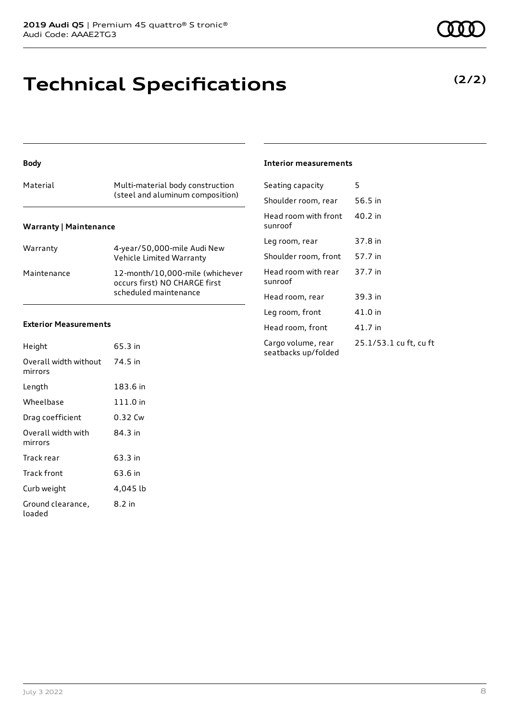### **Technical Specifications**

#### **Body**

| Material                      | Multi-material body construction<br>(steel and aluminum composition) |  |  |  |
|-------------------------------|----------------------------------------------------------------------|--|--|--|
| <b>Warranty   Maintenance</b> |                                                                      |  |  |  |

| Warranty    | 4-year/50,000-mile Audi New<br>Vehicle Limited Warranty                                   |
|-------------|-------------------------------------------------------------------------------------------|
| Maintenance | 12-month/10,000-mile (whichever<br>occurs first) NO CHARGE first<br>scheduled maintenance |

#### **Exterior Measurements**

| Height                           | 65.3 in  |
|----------------------------------|----------|
| Overall width without<br>mirrors | 74.5 in  |
| Length                           | 183.6 in |
| Wheelbase                        | 111.0 in |
| Drag coefficient                 | 0.32 Cw  |
| Overall width with<br>mirrors    | 84.3 in  |
| Track rear                       | 63.3 in  |
| Track front                      | 63.6 in  |
| Curb weight                      | 4,045 lb |
| Ground clearance,<br>loaded      | 8.2 in   |

#### **Interior measurements**

| Seating capacity                          | 5                      |
|-------------------------------------------|------------------------|
| Shoulder room, rear                       | 56.5 in                |
| Head room with front<br>sunroof           | 40.2 in                |
| Leg room, rear                            | 37.8 in                |
| Shoulder room, front                      | 57.7 in                |
| Head room with rear<br>sunroof            | 37.7 in                |
| Head room, rear                           | 39.3 in                |
| Leg room, front                           | 41.0 in                |
| Head room, front                          | 41.7 in                |
| Cargo volume, rear<br>seatbacks up/folded | 25.1/53.1 cu ft, cu ft |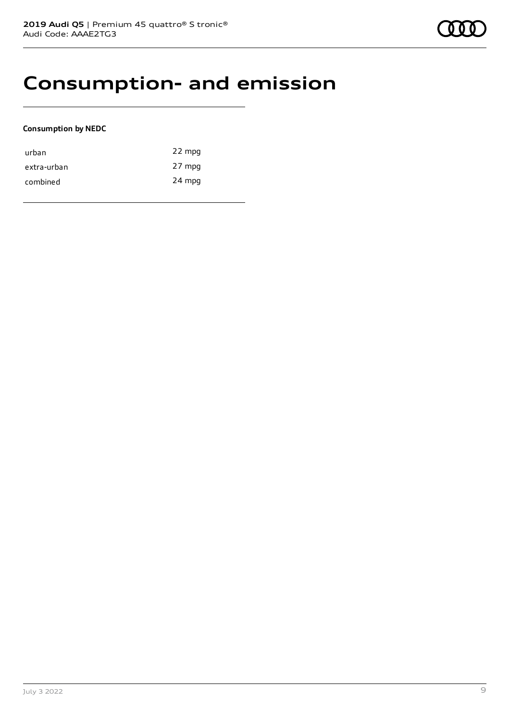### **Consumption- and emission**

#### **Consumption by NEDC**

| urban       | 22 mpg |
|-------------|--------|
| extra-urban | 27 mpg |
| combined    | 24 mpg |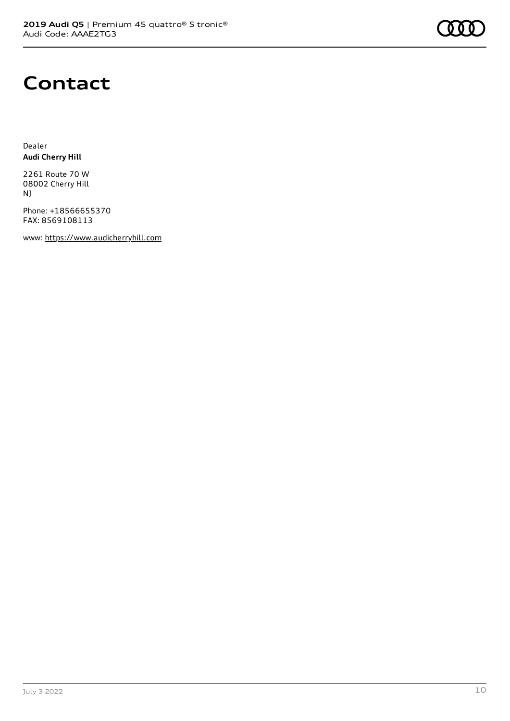

### **Contact**

Dealer **Audi Cherry Hill**

2261 Route 70 W 08002 Cherry Hill NJ

Phone: +18566655370 FAX: 8569108113

www: [https://www.audicherryhill.com](https://www.audicherryhill.com/)